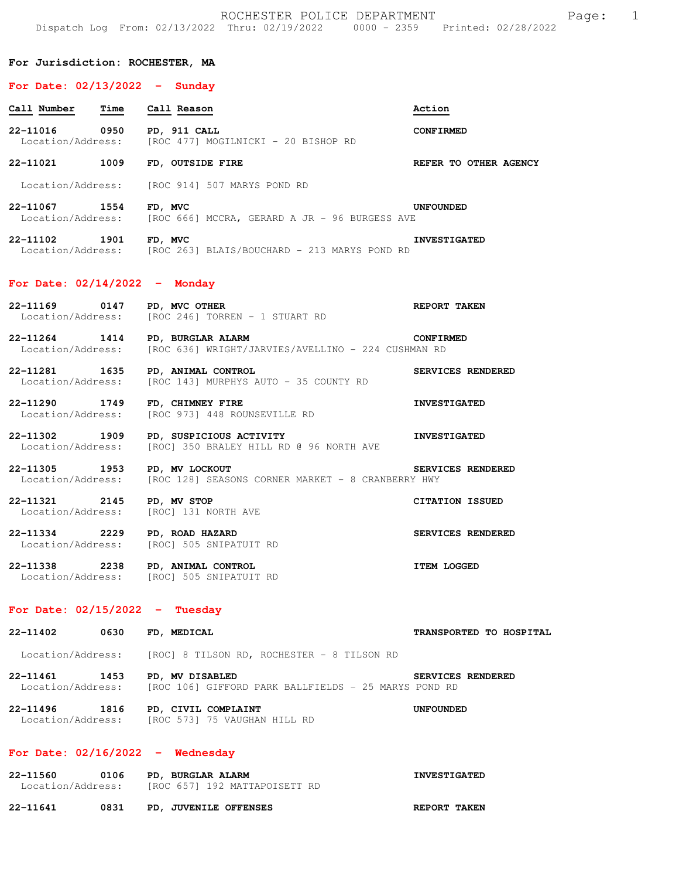| ROCHESTER POLICE DEPARTMENT<br>1<br>Page:<br>Dispatch Log From: 02/13/2022 Thru: 02/19/2022 0000 - 2359 Printed: 02/28/2022 |      |                                                                                     |                         |  |  |
|-----------------------------------------------------------------------------------------------------------------------------|------|-------------------------------------------------------------------------------------|-------------------------|--|--|
| For Jurisdiction: ROCHESTER, MA                                                                                             |      |                                                                                     |                         |  |  |
| For Date: $02/13/2022 -$ Sunday                                                                                             |      |                                                                                     |                         |  |  |
| Call Number                                                                                                                 | Time | Call Reason                                                                         | Action                  |  |  |
| 22-11016<br>Location/Address:                                                                                               | 0950 | PD, 911 CALL<br>[ROC 477] MOGILNICKI - 20 BISHOP RD                                 | <b>CONFIRMED</b>        |  |  |
| 22-11021 1009                                                                                                               |      | FD, OUTSIDE FIRE                                                                    | REFER TO OTHER AGENCY   |  |  |
| Location/Address:                                                                                                           |      | [ROC 914] 507 MARYS POND RD                                                         |                         |  |  |
| 22-11067 1554<br>Location/Address:                                                                                          |      | FD, MVC<br>[ROC 666] MCCRA, GERARD A JR - 96 BURGESS AVE                            | <b>UNFOUNDED</b>        |  |  |
| 22-11102                                                                                                                    | 1901 | FD, MVC<br>Location/Address: [ROC 263] BLAIS/BOUCHARD - 213 MARYS POND RD           | <b>INVESTIGATED</b>     |  |  |
| For Date: $02/14/2022 -$ Monday                                                                                             |      |                                                                                     |                         |  |  |
| 22-11169<br>Location/Address:                                                                                               | 0147 | PD, MVC OTHER<br>[ROC 246] TORREN - 1 STUART RD                                     | REPORT TAKEN            |  |  |
| 22-11264<br>Location/Address:                                                                                               | 1414 | PD, BURGLAR ALARM<br>[ROC 636] WRIGHT/JARVIES/AVELLINO - 224 CUSHMAN RD             | <b>CONFIRMED</b>        |  |  |
| 22-11281<br>Location/Address:                                                                                               | 1635 | PD, ANIMAL CONTROL<br>[ROC 143] MURPHYS AUTO - 35 COUNTY RD                         | SERVICES RENDERED       |  |  |
| 22-11290<br>Location/Address:                                                                                               | 1749 | FD, CHIMNEY FIRE<br>[ROC 973] 448 ROUNSEVILLE RD                                    | <b>INVESTIGATED</b>     |  |  |
| 22-11302 1909<br>Location/Address:                                                                                          |      | PD, SUSPICIOUS ACTIVITY<br>[ROC] 350 BRALEY HILL RD @ 96 NORTH AVE                  | <b>INVESTIGATED</b>     |  |  |
| 22-11305<br>Location/Address:                                                                                               | 1953 | PD, MV LOCKOUT<br>[ROC 128] SEASONS CORNER MARKET - 8 CRANBERRY HWY                 | SERVICES RENDERED       |  |  |
| 22-11321<br>Location/Address:                                                                                               | 2145 | PD, MV STOP<br>[ROC] 131 NORTH AVE                                                  | <b>CITATION ISSUED</b>  |  |  |
| 22–11334 2229<br>Location/Address:                                                                                          |      | PD, ROAD HAZARD<br>[ROC] 505 SNIPATUIT RD                                           | SERVICES RENDERED       |  |  |
| 22-11338 2238                                                                                                               |      | PD, ANIMAL CONTROL<br>Location/Address: [ROC] 505 SNIPATUIT RD                      | <b>ITEM LOGGED</b>      |  |  |
| For Date: $02/15/2022 - Tuesday$                                                                                            |      |                                                                                     |                         |  |  |
| 22-11402                                                                                                                    | 0630 | FD, MEDICAL                                                                         | TRANSPORTED TO HOSPITAL |  |  |
| Location/Address:                                                                                                           |      | [ROC] 8 TILSON RD, ROCHESTER – 8 TILSON RD                                          |                         |  |  |
| 22-11461 1453<br>Location/Address:                                                                                          |      | PD, MV DISABLED<br>[ROC 106] GIFFORD PARK BALLFIELDS - 25 MARYS POND RD             | SERVICES RENDERED       |  |  |
|                                                                                                                             |      | 22-11496 1816 PD, CIVIL COMPLAINT<br>Location/Address: [ROC 573] 75 VAUGHAN HILL RD | <b>UNFOUNDED</b>        |  |  |
|                                                                                                                             |      | For Date: $02/16/2022 -$ Wednesday                                                  |                         |  |  |

**22-11560 0106 PD, BURGLAR ALARM INVESTIGATED**  Location/Address: [ROC 657] 192 MATTAPOISETT RD

**22-11641 0831 PD, JUVENILE OFFENSES REPORT TAKEN**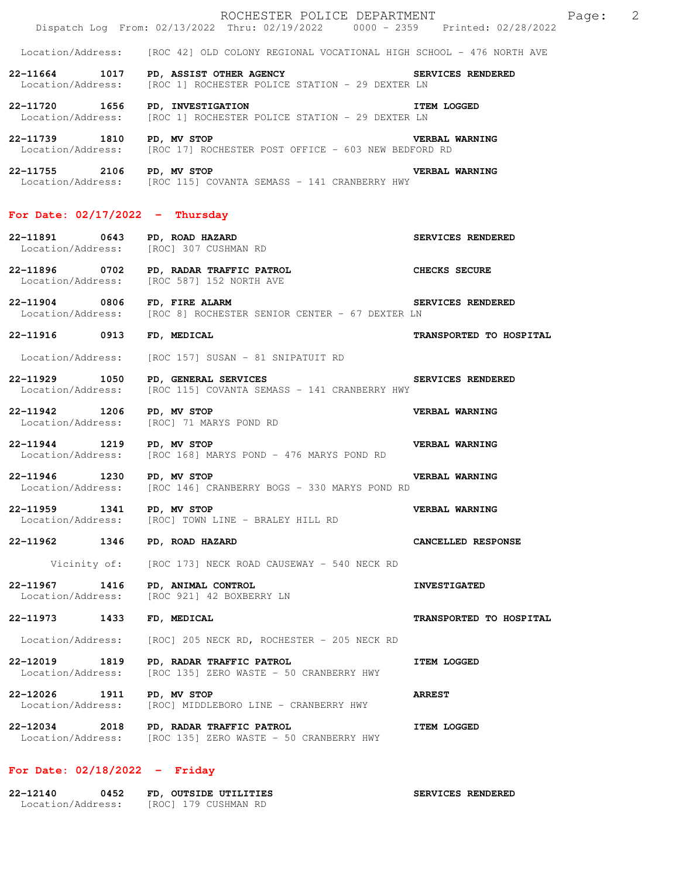|                                       | ROCHESTER POLICE DEPARTMENT<br>Dispatch Log From: 02/13/2022 Thru: 02/19/2022 0000 - 2359 Printed: 02/28/2022                                  | 2<br>Page:              |
|---------------------------------------|------------------------------------------------------------------------------------------------------------------------------------------------|-------------------------|
|                                       | Location/Address: [ROC 42] OLD COLONY REGIONAL VOCATIONAL HIGH SCHOOL - 476 NORTH AVE                                                          |                         |
|                                       | 22-11664 1017 PD, ASSIST OTHER AGENCY SERVICES RENDERED<br>Location/Address: [ROC 1] ROCHESTER POLICE STATION - 29 DEXTER LN                   |                         |
| 22-11720 1656 PD, INVESTIGATION       | Location/Address: [ROC 1] ROCHESTER POLICE STATION - 29 DEXTER LN                                                                              | <b>ITEM LOGGED</b>      |
|                                       | 22-11739 1810 PD, MV STOP<br><b>VERBAL WARNING</b><br>Location/Address: [ROC 17] ROCHESTER POST OFFICE - 603 NEW BEDFORD RD                    |                         |
| 22-11755 2106 PD, MV STOP             | Location/Address: [ROC 115] COVANTA SEMASS - 141 CRANBERRY HWY                                                                                 | <b>VERBAL WARNING</b>   |
| For Date: $02/17/2022 - Thursday$     |                                                                                                                                                |                         |
|                                       | 22-11891 0643 PD, ROAD HAZARD<br>Location/Address: [ROC] 307 CUSHMAN RD                                                                        | SERVICES RENDERED       |
|                                       | 22-11896 0702 PD, RADAR TRAFFIC PATROL CHECKS SECURE<br>Location/Address: [ROC 5871 152 NORTH AVE<br>Location/Address: [ROC 587] 152 NORTH AVE |                         |
| 22-11904 0806 FD, FIRE ALARM          | SERVICES RENDERED<br>Location/Address: [ROC 8] ROCHESTER SENIOR CENTER - 67 DEXTER LN                                                          |                         |
| 22-11916 0913 FD, MEDICAL             |                                                                                                                                                | TRANSPORTED TO HOSPITAL |
|                                       | Location/Address: [ROC 157] SUSAN - 81 SNIPATUIT RD                                                                                            |                         |
|                                       | 22-11929 1050 PD, GENERAL SERVICES NEWSPAPER SERVICES RENDERED<br>Location/Address: [ROC 115] COVANTA SEMASS - 141 CRANBERRY HWY               |                         |
| 22-11942 1206 PD, MV STOP             | Location/Address: [ROC] 71 MARYS POND RD                                                                                                       | VERBAL WARNING          |
|                                       | 22-11944 1219 PD, MV STOP<br>Location/Address: [ROC 168] MARYS POND - 476 MARYS POND RD                                                        | VERBAL WARNING          |
| 22-11946 1230 PD, MV STOP             | Location/Address: [ROC 146] CRANBERRY BOGS - 330 MARYS POND RD                                                                                 | <b>VERBAL WARNING</b>   |
| 22-11959<br>1341<br>Location/Address: | PD, MV STOP<br>[ROC] TOWN LINE - BRALEY HILL RD                                                                                                | VERBAL WARNING          |
| 22-11962 1346                         | PD, ROAD HAZARD                                                                                                                                | CANCELLED RESPONSE      |
| Vicinity of:                          | [ROC 173] NECK ROAD CAUSEWAY - 540 NECK RD                                                                                                     |                         |
| 22-11967<br>1416<br>Location/Address: | PD, ANIMAL CONTROL<br>[ROC 921] 42 BOXBERRY LN                                                                                                 | <b>INVESTIGATED</b>     |
| 22-11973<br>1433                      | FD, MEDICAL                                                                                                                                    | TRANSPORTED TO HOSPITAL |
| Location/Address:                     | [ROC] 205 NECK RD, ROCHESTER - 205 NECK RD                                                                                                     |                         |
| 22-12019<br>1819<br>Location/Address: | PD, RADAR TRAFFIC PATROL<br>[ROC 135] ZERO WASTE - 50 CRANBERRY HWY                                                                            | <b>ITEM LOGGED</b>      |
| 22-12026<br>1911<br>Location/Address: | PD, MV STOP<br>[ROC] MIDDLEBORO LINE - CRANBERRY HWY                                                                                           | <b>ARREST</b>           |
| 22-12034<br>2018<br>Location/Address: | PD, RADAR TRAFFIC PATROL<br>[ROC 135] ZERO WASTE - 50 CRANBERRY HWY                                                                            | <b>ITEM LOGGED</b>      |

## **For Date: 02/18/2022 - Friday**

| 22-12140          | 0452 | FD, OUTSIDE UTILITIES | SERVICES RENDERED |
|-------------------|------|-----------------------|-------------------|
| Location/Address: |      | [ROC] 179 CUSHMAN RD  |                   |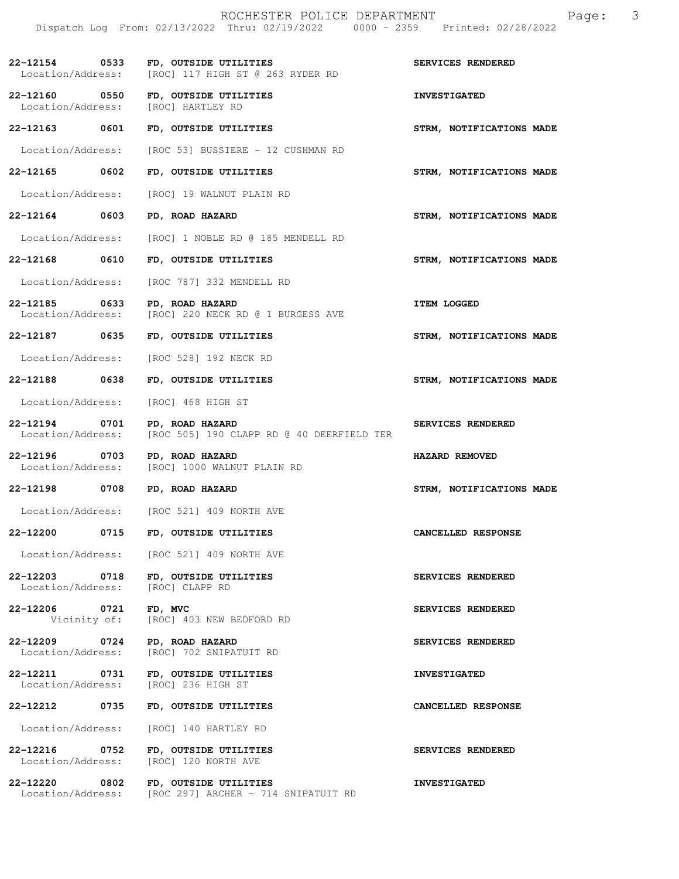| 22-12154 0533<br>Location/Address:    | FD, OUTSIDE UTILITIES<br>[ROC] 117 HIGH ST @ 263 RYDER RD                      | SERVICES RENDERED        |
|---------------------------------------|--------------------------------------------------------------------------------|--------------------------|
| 22-12160 0550<br>Location/Address:    | FD, OUTSIDE UTILITIES<br>[ROC] HARTLEY RD                                      | <b>INVESTIGATED</b>      |
| 22-12163 0601                         | FD, OUTSIDE UTILITIES                                                          | STRM, NOTIFICATIONS MADE |
| Location/Address:                     | [ROC 53] BUSSIERE - 12 CUSHMAN RD                                              |                          |
| 22-12165 0602                         | FD, OUTSIDE UTILITIES                                                          | STRM, NOTIFICATIONS MADE |
| Location/Address:                     | [ROC] 19 WALNUT PLAIN RD                                                       |                          |
| 22-12164 0603                         | PD, ROAD HAZARD                                                                | STRM, NOTIFICATIONS MADE |
| Location/Address:                     | [ROC] 1 NOBLE RD @ 185 MENDELL RD                                              |                          |
| 22-12168 0610                         | FD, OUTSIDE UTILITIES                                                          | STRM, NOTIFICATIONS MADE |
| Location/Address:                     | [ROC 787] 332 MENDELL RD                                                       |                          |
| 0633<br>22-12185<br>Location/Address: | PD, ROAD HAZARD<br>[ROC] 220 NECK RD @ 1 BURGESS AVE                           | <b>ITEM LOGGED</b>       |
| 22-12187 0635                         | FD, OUTSIDE UTILITIES                                                          | STRM, NOTIFICATIONS MADE |
| Location/Address:                     | [ROC 528] 192 NECK RD                                                          |                          |
| 22-12188 0638                         | FD, OUTSIDE UTILITIES                                                          | STRM, NOTIFICATIONS MADE |
| Location/Address:                     | [ROC] 468 HIGH ST                                                              |                          |
| 0701<br>22-12194<br>Location/Address: | PD, ROAD HAZARD<br>[ROC 505] 190 CLAPP RD @ 40 DEERFIELD TER                   | SERVICES RENDERED        |
| 22-12196 0703<br>Location/Address:    | PD, ROAD HAZARD<br>[ROC] 1000 WALNUT PLAIN RD                                  | HAZARD REMOVED           |
| 22-12198 0708                         | PD, ROAD HAZARD                                                                | STRM, NOTIFICATIONS MADE |
|                                       | Location/Address: [ROC 521] 409 NORTH AVE                                      |                          |
| 22-12200 0715                         | FD, OUTSIDE UTILITIES                                                          | CANCELLED RESPONSE       |
|                                       | Location/Address: [ROC 521] 409 NORTH AVE                                      |                          |
| 22-12203 0718<br>Location/Address:    | FD, OUTSIDE UTILITIES<br>[ROC] CLAPP RD                                        | SERVICES RENDERED        |
| 22-12206 0721                         | FD, MVC<br>Vicinity of: [ROC] 403 NEW BEDFORD RD                               | SERVICES RENDERED        |
| 22-12209 0724<br>Location/Address:    | <b>PD, ROAD HAZARD</b><br>[ROC] 702 SNIPATUIT RD                               | SERVICES RENDERED        |
| 22-12211 0731<br>Location/Address:    | FD, OUTSIDE UTILITIES<br>[ROC] 236 HIGH ST                                     | <b>INVESTIGATED</b>      |
| 22-12212 0735                         | FD, OUTSIDE UTILITIES                                                          | CANCELLED RESPONSE       |
| Location/Address:                     | [ROC] 140 HARTLEY RD                                                           |                          |
| 22-12216 0752<br>Location/Address:    | FD, OUTSIDE UTILITIES<br>[ROC] 120 NORTH AVE                                   | SERVICES RENDERED        |
| 22-12220 0802                         | FD, OUTSIDE UTILITIES<br>Location/Address: [ROC 297] ARCHER - 714 SNIPATUIT RD | <b>INVESTIGATED</b>      |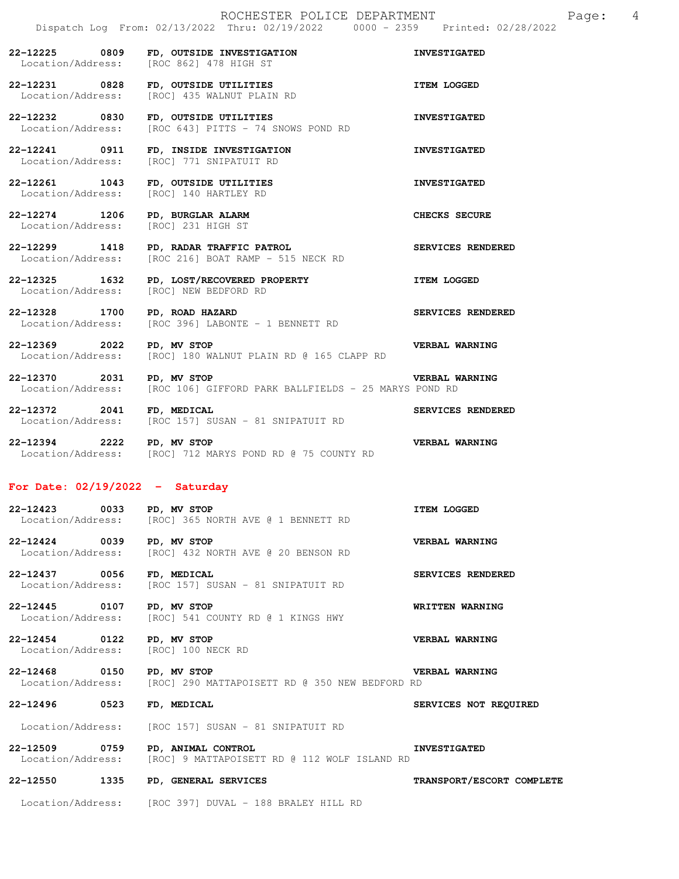**22-12225 0809 FD, OUTSIDE INVESTIGATION INVESTIGATED**  Location/Address: [ROC 862] 478 HIGH ST **22-12231 0828 FD, OUTSIDE UTILITIES ITEM LOGGED** 

Location/Address: [ROC] 435 WALNUT PLAIN RD

**22-12232 0830 FD, OUTSIDE UTILITIES 100810 FD, OUTSIDE UTILITIES**<br>Location/Address: [ROC 643] PITTS - 74 SNOWS POND RD [ROC 643] PITTS - 74 SNOWS POND RD

**22-12241 0911 FD, INSIDE INVESTIGATION INVESTIGATED**  Location/Address: [ROC] 771 SNIPATUIT RD

**22-12261 1043 FD, OUTSIDE UTILITIES INVESTIGATED**  Location/Address: [ROC] 140 HARTLEY RD

**22-12274 1206 PD, BURGLAR ALARM CHECKS SECURE**  Location/Address: [ROC] 231 HIGH ST

**22-12299 1418 PD, RADAR TRAFFIC PATROL SERVICES RENDERED**   $[ROC 216] BOAT RAMP - 515 NECK RD$ 

**22-12325 1632 PD, LOST/RECOVERED PROPERTY ITEM LOGGED** Location/Address: [ROC] NEW BEDFORD RD [ROC] NEW BEDFORD RD

**22-12328 1700 PD, ROAD HAZARD SERVICES RENDERED**  Location/Address: [ROC 396] LABONTE - 1 BENNETT RD

**22-12369 2022 PD, MV STOP VERBAL WARNING**  Location/Address: [ROC] 180 WALNUT PLAIN RD @ 165 CLAPP RD

**22-12370 2031 PD, MV STOP VERBAL WARNING**  Location/Address: [ROC 106] GIFFORD PARK BALLFIELDS - 25 MARYS POND RD

**22-12372 2041 FD, MEDICAL SERVICES RENDERED**  Location/Address: [ROC 157] SUSAN - 81 SNIPATUIT RD

**22-12394 2222 PD, MV STOP VERBAL WARNING**  Location/Address: [ROC] 712 MARYS POND RD @ 75 COUNTY RD

## **For Date: 02/19/2022 - Saturday**

**22-12423 0033 PD, MV STOP CONSET AND READ TIEM LOGGED**<br>Location/Address: [ROC] 365 NORTH AVE @ 1 BENNETT RD [ROC] 365 NORTH AVE @ 1 BENNETT RD

**22-12424 0039 PD, MV STOP VERBAL WARNING**  Location/Address: [ROC] 432 NORTH AVE @ 20 BENSON RD

**22-12437 0056 FD, MEDICAL SERVICES RENDERED**  Location/Address: [ROC 157] SUSAN - 81 SNIPATUIT RD

**22-12445 0107 PD, MV STOP WRITTEN WARNING**  Location/Address: [ROC] 541 COUNTY RD @ 1 KINGS HWY

**22-12454 0122 PD, MV STOP VERBAL WARNING**  Location/Address: [ROC] 100 NECK RD

**22-12468 0150 PD, MV STOP VERBAL WARNING**  Location/Address: [ROC] 290 MATTAPOISETT RD @ 350 NEW BEDFORD RD

**22-12496 0523 FD, MEDICAL SERVICES NOT REQUIRED** 

Location/Address: [ROC 157] SUSAN - 81 SNIPATUIT RD

**22-12509 0759 PD, ANIMAL CONTROL INVESTIGATED**  Location/Address: [ROC] 9 MATTAPOISETT RD @ 112 WOLF ISLAND RD

**22-12550 1335 PD, GENERAL SERVICES TRANSPORT/ESCORT COMPLETE** 

Location/Address: [ROC 397] DUVAL - 188 BRALEY HILL RD